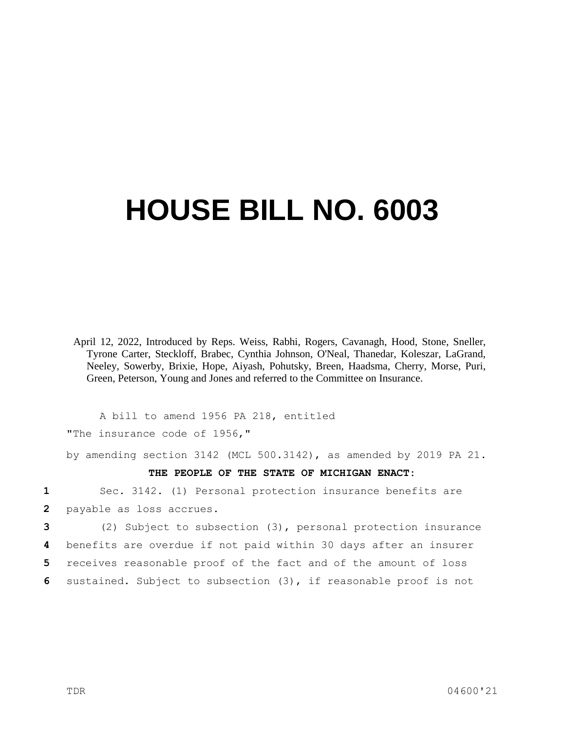## **HOUSE BILL NO. 6003**

April 12, 2022, Introduced by Reps. Weiss, Rabhi, Rogers, Cavanagh, Hood, Stone, Sneller, Tyrone Carter, Steckloff, Brabec, Cynthia Johnson, O'Neal, Thanedar, Koleszar, LaGrand, Neeley, Sowerby, Brixie, Hope, Aiyash, Pohutsky, Breen, Haadsma, Cherry, Morse, Puri, Green, Peterson, Young and Jones and referred to the Committee on Insurance.

A bill to amend 1956 PA 218, entitled "The insurance code of 1956,"

by amending section 3142 (MCL 500.3142), as amended by 2019 PA 21.

## **THE PEOPLE OF THE STATE OF MICHIGAN ENACT:**

**1** Sec. 3142. (1) Personal protection insurance benefits are **2** payable as loss accrues.

 (2) Subject to subsection (3), personal protection insurance benefits are overdue if not paid within 30 days after an insurer receives reasonable proof of the fact and of the amount of loss sustained. Subject to subsection (3), if reasonable proof is not